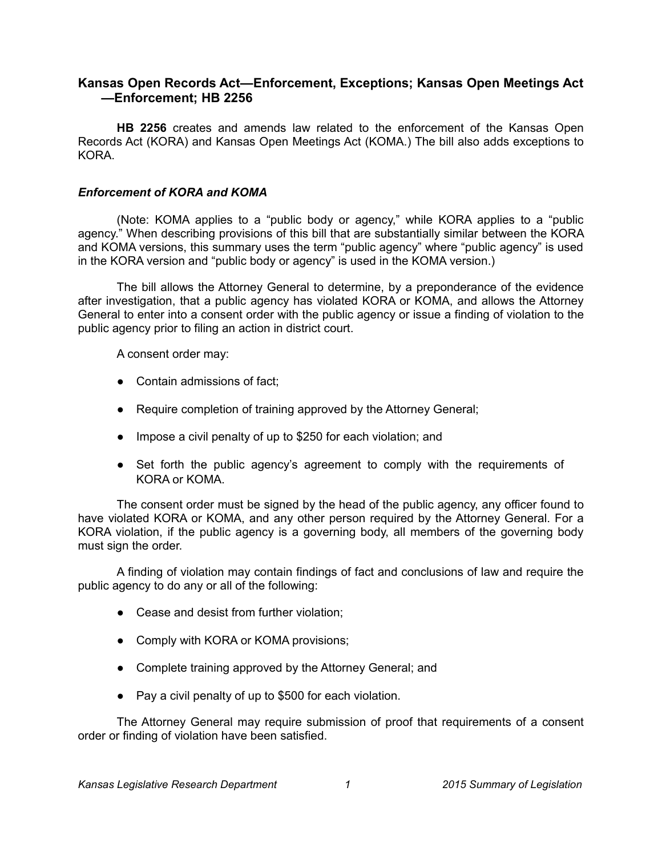## **Kansas Open Records Act—Enforcement, Exceptions; Kansas Open Meetings Act —Enforcement; HB 2256**

**HB 2256** creates and amends law related to the enforcement of the Kansas Open Records Act (KORA) and Kansas Open Meetings Act (KOMA.) The bill also adds exceptions to KORA.

## *Enforcement of KORA and KOMA*

(Note: KOMA applies to a "public body or agency," while KORA applies to a "public agency." When describing provisions of this bill that are substantially similar between the KORA and KOMA versions, this summary uses the term "public agency" where "public agency" is used in the KORA version and "public body or agency" is used in the KOMA version.)

The bill allows the Attorney General to determine, by a preponderance of the evidence after investigation, that a public agency has violated KORA or KOMA, and allows the Attorney General to enter into a consent order with the public agency or issue a finding of violation to the public agency prior to filing an action in district court.

A consent order may:

- Contain admissions of fact;
- Require completion of training approved by the Attorney General;
- Impose a civil penalty of up to \$250 for each violation; and
- Set forth the public agency's agreement to comply with the requirements of KORA or KOMA.

The consent order must be signed by the head of the public agency, any officer found to have violated KORA or KOMA, and any other person required by the Attorney General. For a KORA violation, if the public agency is a governing body, all members of the governing body must sign the order.

A finding of violation may contain findings of fact and conclusions of law and require the public agency to do any or all of the following:

- Cease and desist from further violation;
- Comply with KORA or KOMA provisions;
- Complete training approved by the Attorney General; and
- Pay a civil penalty of up to \$500 for each violation.

The Attorney General may require submission of proof that requirements of a consent order or finding of violation have been satisfied.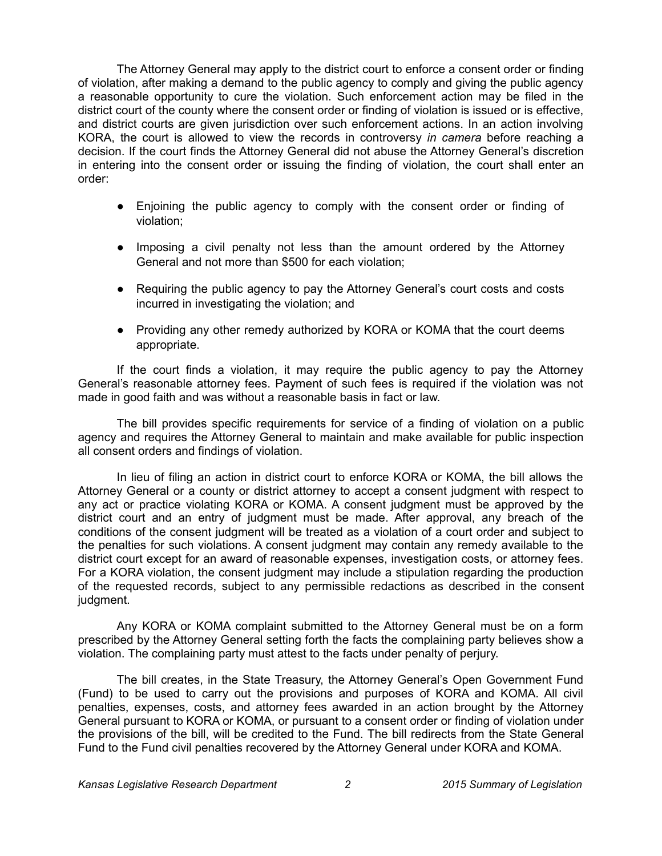The Attorney General may apply to the district court to enforce a consent order or finding of violation, after making a demand to the public agency to comply and giving the public agency a reasonable opportunity to cure the violation. Such enforcement action may be filed in the district court of the county where the consent order or finding of violation is issued or is effective, and district courts are given jurisdiction over such enforcement actions. In an action involving KORA, the court is allowed to view the records in controversy *in camera* before reaching a decision. If the court finds the Attorney General did not abuse the Attorney General's discretion in entering into the consent order or issuing the finding of violation, the court shall enter an order:

- Enjoining the public agency to comply with the consent order or finding of violation;
- Imposing a civil penalty not less than the amount ordered by the Attorney General and not more than \$500 for each violation;
- Requiring the public agency to pay the Attorney General's court costs and costs incurred in investigating the violation; and
- Providing any other remedy authorized by KORA or KOMA that the court deems appropriate.

If the court finds a violation, it may require the public agency to pay the Attorney General's reasonable attorney fees. Payment of such fees is required if the violation was not made in good faith and was without a reasonable basis in fact or law.

The bill provides specific requirements for service of a finding of violation on a public agency and requires the Attorney General to maintain and make available for public inspection all consent orders and findings of violation.

In lieu of filing an action in district court to enforce KORA or KOMA, the bill allows the Attorney General or a county or district attorney to accept a consent judgment with respect to any act or practice violating KORA or KOMA. A consent judgment must be approved by the district court and an entry of judgment must be made. After approval, any breach of the conditions of the consent judgment will be treated as a violation of a court order and subject to the penalties for such violations. A consent judgment may contain any remedy available to the district court except for an award of reasonable expenses, investigation costs, or attorney fees. For a KORA violation, the consent judgment may include a stipulation regarding the production of the requested records, subject to any permissible redactions as described in the consent judgment.

Any KORA or KOMA complaint submitted to the Attorney General must be on a form prescribed by the Attorney General setting forth the facts the complaining party believes show a violation. The complaining party must attest to the facts under penalty of perjury.

The bill creates, in the State Treasury, the Attorney General's Open Government Fund (Fund) to be used to carry out the provisions and purposes of KORA and KOMA. All civil penalties, expenses, costs, and attorney fees awarded in an action brought by the Attorney General pursuant to KORA or KOMA, or pursuant to a consent order or finding of violation under the provisions of the bill, will be credited to the Fund. The bill redirects from the State General Fund to the Fund civil penalties recovered by the Attorney General under KORA and KOMA.